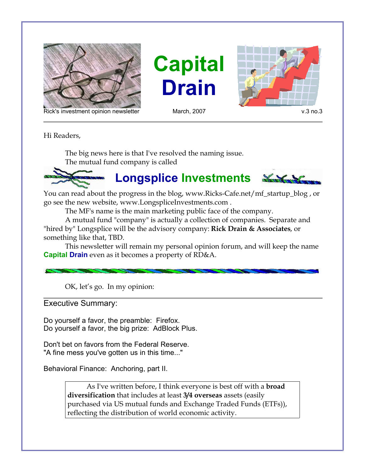





Rick's investment opinion newsletter March, 2007 March, 2007 v.3 no.3

Hi Readers,

The big news here is that I've resolved the naming issue. The mutual fund company is called



You can read about the progress in the blog, www.Ricks-Cafe.net/mf\_startup\_blog , or go see the new website, www.LongspliceInvestments.com .

The MF's name is the main marketing public face of the company.

A mutual fund "company" is actually a collection of companies. Separate and "hired by" Longsplice will be the advisory company: **Rick Drain & Associates**, or something like that, TBD.

This newsletter will remain my personal opinion forum, and will keep the name **Capital Drain** even as it becomes a property of RD&A.

OK, let's go. In my opinion:

Executive Summary:

Do yourself a favor, the preamble: Firefox. Do yourself a favor, the big prize: AdBlock Plus.

Don't bet on favors from the Federal Reserve. "A fine mess you've gotten us in this time..."

Behavioral Finance: Anchoring, part II.

As I've written before, I think everyone is best off with a **broad diversification** that includes at least **3/4 overseas** assets (easily purchased via US mutual funds and Exchange Traded Funds (ETFs)), reflecting the distribution of world economic activity.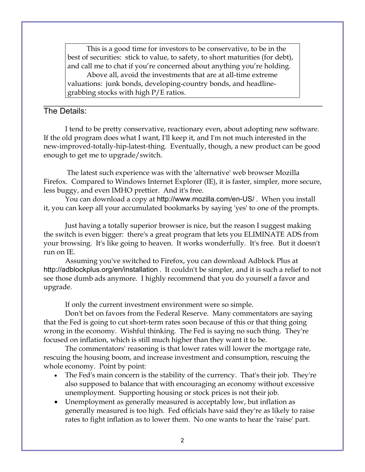This is a good time for investors to be conservative, to be in the best of securities: stick to value, to safety, to short maturities (for debt), and call me to chat if you're concerned about anything you're holding.

Above all, avoid the investments that are at all-time extreme valuations: junk bonds, developing-country bonds, and headlinegrabbing stocks with high P/E ratios.

## The Details:

I tend to be pretty conservative, reactionary even, about adopting new software. If the old program does what I want, I'll keep it, and I'm not much interested in the new-improved-totally-hip-latest-thing. Eventually, though, a new product can be good enough to get me to upgrade/switch.

 The latest such experience was with the 'alternative' web browser Mozilla Firefox. Compared to Windows Internet Explorer (IE), it is faster, simpler, more secure, less buggy, and even IMHO prettier. And it's free.

You can download a copy at http://www.mozilla.com/en-US/ . When you install it, you can keep all your accumulated bookmarks by saying 'yes' to one of the prompts.

Just having a totally superior browser is nice, but the reason I suggest making the switch is even bigger: there's a great program that lets you ELIMINATE ADS from your browsing. It's like going to heaven. It works wonderfully. It's free. But it doesn't run on IE.

Assuming you've switched to Firefox, you can download Adblock Plus at http://adblockplus.org/en/installation . It couldn't be simpler, and it is such a relief to not see those dumb ads anymore. I highly recommend that you do yourself a favor and upgrade.

If only the current investment environment were so simple.

Don't bet on favors from the Federal Reserve. Many commentators are saying that the Fed is going to cut short-term rates soon because of this or that thing going wrong in the economy. Wishful thinking. The Fed is saying no such thing. They're focused on inflation, which is still much higher than they want it to be.

The commentators' reasoning is that lower rates will lower the mortgage rate, rescuing the housing boom, and increase investment and consumption, rescuing the whole economy. Point by point:

- The Fed's main concern is the stability of the currency. That's their job. They're also supposed to balance that with encouraging an economy without excessive unemployment. Supporting housing or stock prices is not their job.
- Unemployment as generally measured is acceptably low, but inflation as generally measured is too high. Fed officials have said they're as likely to raise rates to fight inflation as to lower them. No one wants to hear the 'raise' part.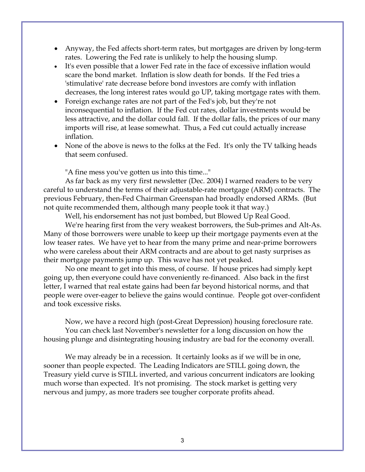- Anyway, the Fed affects short-term rates, but mortgages are driven by long-term rates. Lowering the Fed rate is unlikely to help the housing slump.
- It's even possible that a lower Fed rate in the face of excessive inflation would scare the bond market. Inflation is slow death for bonds. If the Fed tries a 'stimulative' rate decrease before bond investors are comfy with inflation decreases, the long interest rates would go UP, taking mortgage rates with them.
- Foreign exchange rates are not part of the Fed's job, but they're not inconsequential to inflation. If the Fed cut rates, dollar investments would be less attractive, and the dollar could fall. If the dollar falls, the prices of our many imports will rise, at lease somewhat. Thus, a Fed cut could actually increase inflation.
- None of the above is news to the folks at the Fed. It's only the TV talking heads that seem confused.

"A fine mess you've gotten us into this time..."

As far back as my very first newsletter (Dec. 2004) I warned readers to be very careful to understand the terms of their adjustable-rate mortgage (ARM) contracts. The previous February, then-Fed Chairman Greenspan had broadly endorsed ARMs. (But not quite recommended them, although many people took it that way.)

Well, his endorsement has not just bombed, but Blowed Up Real Good.

We're hearing first from the very weakest borrowers, the Sub-primes and Alt-As. Many of those borrowers were unable to keep up their mortgage payments even at the low teaser rates. We have yet to hear from the many prime and near-prime borrowers who were careless about their ARM contracts and are about to get nasty surprises as their mortgage payments jump up. This wave has not yet peaked.

No one meant to get into this mess, of course. If house prices had simply kept going up, then everyone could have conveniently re-financed. Also back in the first letter, I warned that real estate gains had been far beyond historical norms, and that people were over-eager to believe the gains would continue. People got over-confident and took excessive risks.

Now, we have a record high (post-Great Depression) housing foreclosure rate. You can check last November's newsletter for a long discussion on how the housing plunge and disintegrating housing industry are bad for the economy overall.

We may already be in a recession. It certainly looks as if we will be in one, sooner than people expected. The Leading Indicators are STILL going down, the Treasury yield curve is STILL inverted, and various concurrent indicators are looking much worse than expected. It's not promising. The stock market is getting very nervous and jumpy, as more traders see tougher corporate profits ahead.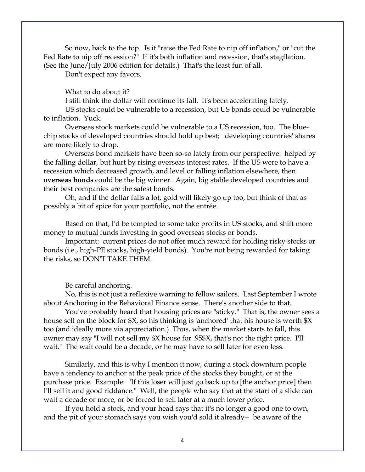So now, back to the top. Is it "raise the Fed Rate to nip off inflation," or "cut the Fed Rate to nip off recession?" If it's both inflation and recession, that's stagflation. (See the June/July 2006 edition for details.) That's the least fun of all.

Don't expect any favors.

## What to do about it?

I still think the dollar will continue its fall. It's been accelerating lately.

US stocks could be vulnerable to a recession, but US bonds could be vulnerable to inflation. Yuck.

Overseas stock markets could be vulnerable to a US recession, too. The bluechip stocks of developed countries should hold up best; developing countries' shares are more likely to drop.

Overseas bond markets have been so-so lately from our perspective: helped by the falling dollar, but hurt by rising overseas interest rates. If the US were to have a recession which decreased growth, and level or falling inflation elsewhere, then **overseas bonds** could be the big winner. Again, big stable developed countries and their best companies are the safest bonds.

Oh, and if the dollar falls a lot, gold will likely go up too, but think of that as possibly a bit of spice for your portfolio, not the entrée.

Based on that, I'd be tempted to some take profits in US stocks, and shift more money to mutual funds investing in good overseas stocks or bonds.

Important: current prices do not offer much reward for holding risky stocks or bonds (i.e., high-PE stocks, high-yield bonds). You're not being rewarded for taking the risks, so DON'T TAKE THEM.

Be careful anchoring.

No, this is not just a reflexive warning to fellow sailors. Last September I wrote about Anchoring in the Behavioral Finance sense. There's another side to that.

You've probably heard that housing prices are "sticky." That is, the owner sees a house sell on the block for \$X, so his thinking is 'anchored' that his house is worth \$X too (and ideally more via appreciation.) Thus, when the market starts to fall, this owner may say "I will not sell my \$X house for .95\$X, that's not the right price. I'll wait." The wait could be a decade, or he may have to sell later for even less.

Similarly, and this is why I mention it now, during a stock downturn people have a tendency to anchor at the peak price of the stocks they bought, or at the purchase price. Example: "If this loser will just go back up to [the anchor price] then I'll sell it and good riddance." Well, the people who say that at the start of a slide can wait a decade or more, or be forced to sell later at a much lower price.

If you hold a stock, and your head says that it's no longer a good one to own, and the pit of your stomach says you wish you'd sold it already-- be aware of the